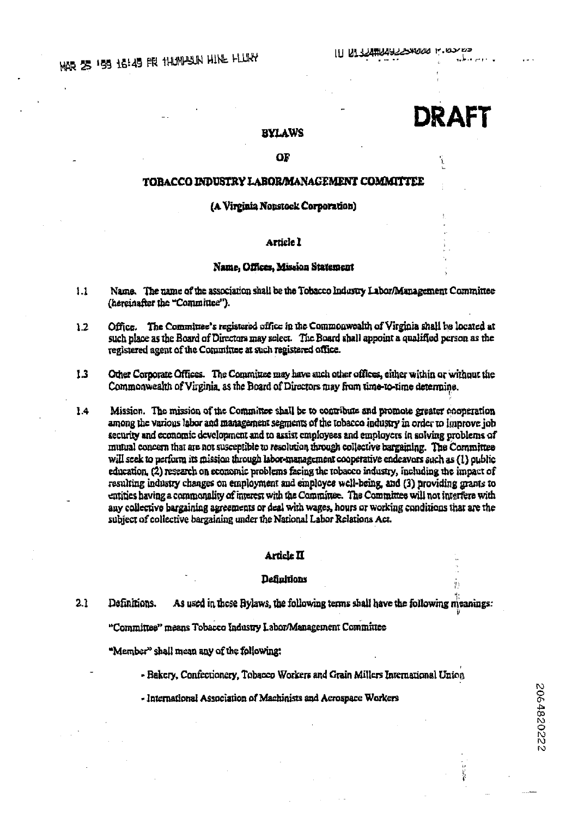# **DRAFT**

2064820222

# **BYLAWS**

# OF

# TOBACCO INDUSTRY LABORMANAGEMENT COMMITTEE

## (A Virginia Nonstock Corporation)

# Article I

#### Name, Offices, Mission Statement

- $1.1$ Name. The name of the association shall be the Tobacco Industry Labor/Management Committee (hereinafter the "Committee").
- Office. The Committee's registered office in the Commonwealth of Virginia shall be located at  $1.2$ such place as the Board of Directors may select. The Board shall appoint a qualified person as the registered agent of the Committee at such registered office.
- $1.3$ Other Corporate Offices. The Committee may have such other offices, either within or without the Commonwealth of Virginia, as the Board of Directors may from time-to-time determine.
- 1.4 Mission. The mission of the Committee shall be to contribute and promote greater cooperation among the various labor and management segments of the tobacco industry in order to improve job security and economic development and to assist employees and employers in solving problems of mutual concern that are not susceptible to resolution through collective bargaining. The Committee will seek to perform its mission through labor-management cooperative endeavors such as (1) oublic education. (2) research on economic problems facing the tobacco industry, including the impact of resulting industry changes on employment and employee well-being, and (3) providing grants to entities having a commonality of interest with the Committee. The Committee will not interfere with any collective bargaining agreements or deal with wages, hours or working conditions that are the subject of collective bargaining under the National Labor Relations Act.

# Article II

## **Definitions**

 $2.1$ Definitions. As used in these Bylaws, the following terms shall have the following meanings:

"Committee" means Tobacco Industry Labor/Management Committee

"Member" shall mean any of the following:

- Bakery, Confectionery, Tobacco Workers and Grain Millers International Union
- International Association of Machinists and Aerospace Workers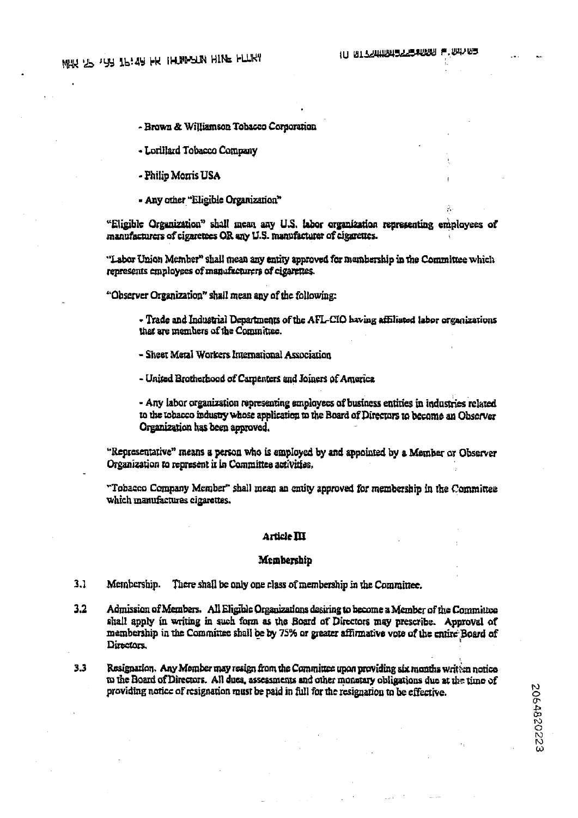- Brown & Williamson Tobacco Cornoration

- Lorillard Tobacco Company

- Philip Morris USA

- Any other "Eligible Organization"

"Eligible Organization" shall mean any U.S. labor organization representing employees of manufacturers of cigaretees OR any U.S. manufacturer of cigarettes.

"Labor Union Member" shall mean any entity approved for membership in the Committee which represents employees of manufacturers of eigenettes.

"Observer Organization" shall mean any of the following:

- Trade and Industrial Departments of the AFL-CIO having affiliated labor organizations that are members of the Committee.

- Sheet Metal Workers International Association

- United Brotherhood of Carpenters and Joiners of America

- Any labor organization representing employees of business entities in industries related to the tobacco industry whose application to the Board of Directors to become an Observer Organization has been approved.

"Representative" means a person who is employed by and appointed by a Member or Observer Organization to represent it in Committee activities.

"Tobacco Company Member" shall mean an entity approved for membership in the Committee which manufactures eigerettes.

#### **Article III**

#### Membership

 $3.1$ Membership. There shall be only one class of membership in the Committee.

- $3.2$ Admission of Members. All Eligible Organizations desiring to become a Member of the Committee shall apply in writing in such form as the Board of Directors may prescribe. Approval of membership in the Committee shall be by 75% or greater affirmative vote of the entire Board of Directors.
- $3.3$ Resignation. Any Member may resign from the Committee upon providing six months writen notice to the Board of Directors. All dues, assessments and other monetary obligations due at the time of providing notice of resignation must be paid in full for the resignation to be effective.

2064820223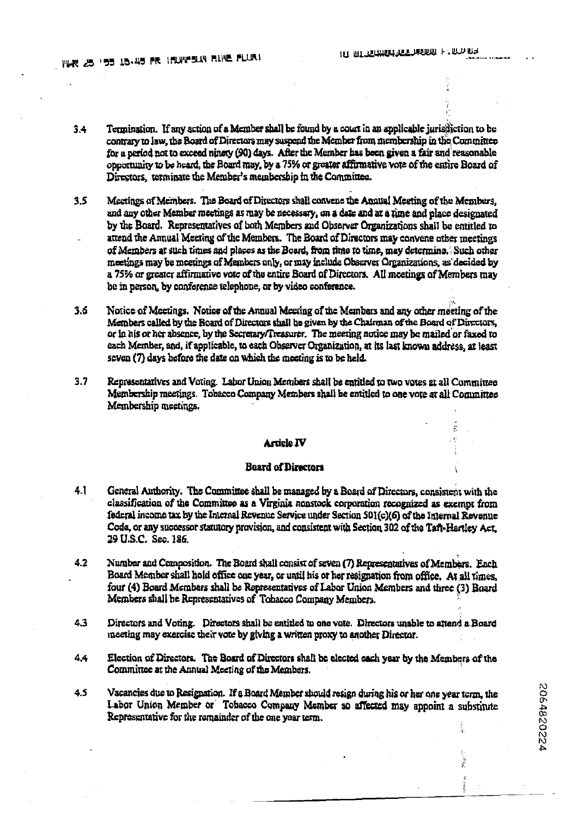$\mathcal{E}$ 

 $\tilde{\chi}_i$  $\frac{1}{2}$ ą ĭ

2064820224

- Termination. If any action of a Member shall be found by a court in an applicable jurisdiction to be  $34$ contrary to law, the Board of Directors may suspend the Member from membership in the Committee for a period not to exceed ninety (90) days. After the Member has been given a fair and reasonable opportunity to be heard, the Board may, by a 75% or greater affirmative vote of the entire Board of Directors, terminate the Member's membership in the Committee.
- $3.5$ Meetings of Members. The Board of Directors shall convene the Annual Meeting of the Members. and any other Member meetings as may be necessary, on a date and at a time and place designated by the Board. Representatives of both Members and Observer Organizations shall be entitled to attend the Annual Meeting of the Members. The Board of Directors may convene other meetings of Members at such times and places as the Board, from time to time, may determine. Such other meetings may be meetings of Members only, or may include Observer Organizations, as decided by a 75% or greater affirmative vote of the entire Board of Directors. All meetings of Members may be in person, by conference telephone, or by video conference,
- $3.6$ Notice of Meetings. Notice of the Annual Meeting of the Members and any other meeting of the Members called by the Board of Directors shall be given by the Chairman of the Board of Directors. or in his or her absence, by the Secretary/Treasurer. The meeting notice may be mailed or faxed to each Member, and, if applicable, to each Observer Organization, at its last known address, at least seven (7) days before the date on which the meeting is to be held.
- $3.7$ Representatives and Voting. Labor Union Members shall be entitled to two votes at all Committee Membership meetings. Tobacco Company Members shall be entitled to one vote at all Committee Membership meetings.

## **Article IV**

## **Board of Directors**

- General Authority. The Committee shall be managed by a Board of Directors, consistent with the  $4.1$ classification of the Committee as a Virginia nonstock corporation recognized as exempt from federal income tax by the Internal Revenue Service under Section S01(c)(6) of the Internal Revenue Code, or any successor statutory provision, and consistent with Section 302 of the Taft-Hartley Act. 29 U.S.C. Sec. 186.
- $4.2$ Number and Composition. The Board shall consist of seven (7) Representatives of Members. Each Board Member shall hold office one year, or until his or her resignation from office. At all times, four (4) Board Members shall be Representatives of Labor Union Members and three (3) Board Members shall be Representatives of Tobacco Company Members.
- $4.3$ Directors and Voting. Directors shall be entitled to one vote. Directors unable to attend a Board meeting may exercise their vote by giving a written proxy to another Director.
- $4.4$ Election of Directors. The Board of Directors shall be elected each year by the Members of the Committee at the Annual Meeting of the Members.
- $4.5$ Vacancies due to Resignation. If a Board Member should resign during his or her one year term, the Labor Union Member or Tobacco Company Member so affected may appoint a substitute Renresentative for the remainder of the one year term.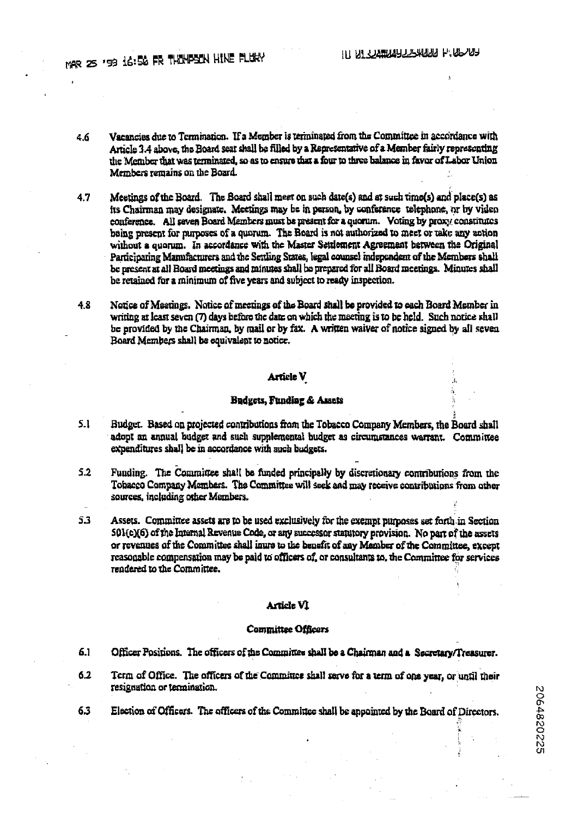- Vaeancies due to Termination. If a Member is terminated from the Committee in accordance with  $46$ Article 3.4 above, the Board seat shall be filled by a Representative of a Member fairly representing the Member that was terminated, so as to ensure that a four to three balance in favor of Labor Union Members remains on the Board.
- 47 Meetings of the Board. The Board shall meet on such date(s) and at such time(s) and place(s) as its Chairman may designate. Meetings may be in person, by conference telephone, or by video conference. All seven Board Members must be meatent for a quorum. Voting by proxy constitutes being present for purposes of a quorum. The Board is not authorized to meet or take any action without a quorum. In accordance with the Master Settlement Agreement between the Original Participating Manufacturers and the Settling States, legal counsel independent of the Members shall be present at all Board meetings and minutes shall be prepared for all Board meetings. Minutes shall be retained for a minimum of five years and subject to ready inspection.
- Notice of Meetings. Notice of meetings of the Board shall be provided to each Board Member in  $48$ writing at least seven (7) days before the date on which the meeting is to be held. Such notice shall be provided by the Chairman, by mail or by fax. A written waiver of notice signed by all seven Board Members shall be equivalent to notice.

# Article V

# Budgets, Funding & Assets

- $5.1$ Budget. Based on projected contributions from the Tobacco Company Members, the Board shall adont an annual budget and such supplemental budget as circumstances warrant. Committee expenditures shall be in accordance with such budgets.
- $52$ Funding. The Committee shall be funded principally by discretionary contributions from the Tobacco Company Members. The Committee will seek and may receive contributions from other sources, including other Members.
- 5.3 Assets. Committee assets are to be used exclusively for the exempt purposes set forth in Section 501(c)(6) of the Internal Revenue Code, or any successor statutory provision. No part of the assets or revenues of the Committee shall inure to the benefit of any Member of the Committee, except reasonable compensation may be paid to officers of, or consultants to, the Committee for services rendered to the Committee.

#### Article VI

#### **Committee Officers**

- 6.1 Officer Positions. The officers of the Committee shall be a Chairman and a Secretary/Treasurer.
- $6.2$ Term of Office. The officers of the Committee shall serve for a term of one year, or until their resignation or termination.
- Election of Officers. The officers of the Committee shall be appointed by the Board of Directors. 6.3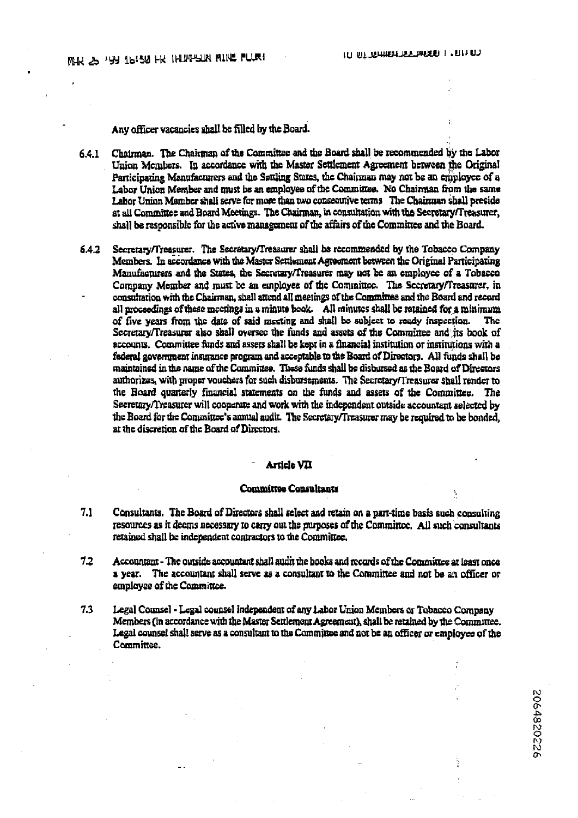Any officer vacancies shall be filled by the Board.

Chairman. The Chairman of the Committee and the Board shall be recommended by the Labor 6.4.1 Union Members. In accordance with the Master Settlement Agreement between the Original Participating Manufacturers and the Settling States, the Chairman may not be an employee of a Labor Union Member and must be an employee of the Committee. No Chairman from the same Labor Union Member shall serve for more than two consecutive terms The Chairman shall preside at all Committee and Board Meetings. The Chairman, in consultation with the Secretary/Treasurer, shall be responsible for the active management of the affairs of the Committee and the Board.

 $6.4.2$ Secretary/Treasurer. The Secretary/Treasurer shall be recommended by the Tobacco Company Members. In accordance with the Master Settlement Agreement between the Original Participating Manufacturers and the States, the Secretary/Treasurer may not be an employee of a Tobacco Company Member and must be an employee of the Committee. The Secretary/Treasurer, in consultation with the Chairman, shall attend all meetings of the Committee and the Board and record all proceedings of these meetings in a minute book. All minutes shall be retained for a minimum of five years from the date of said meeting and shall be subject to ready inspection. The Secretary/Treasurer also shall oversee the funds and assets of the Committee and its book of accounts. Committee funds and assets shall be kept in a financial institution or institutions with a federal government insurance program and acceptable to the Board of Directors. All funds shall be maintained in the name of the Committee. These funds shall be disbursed as the Board of Directors authorizes, with proper vouchers for such disbursements. The Secretary/Treasurer shall render to the Board quarterly financial statements on the funds and assets of the Committee. The Secretary/Treasurer will cooperate and work with the independent outside accountant selected by the Board for the Committee's annual audit. The Secretary/Treasurer may be required to be bonded, at the discretion of the Board of Directors.

# **Article VII**

## **Committee Consultants**

- $7.1$ Consultants. The Board of Directors shall select and retain on a part-time basis such consulting resources as it deems necessary to carry out the purposes of the Committee. All such consultants retained shall be independent contractors to the Committee.
- $7.2$ Accountant - The outside accountant shall audit the books and records of the Committee at least once a year. The accountant shall serve as a consultant to the Committee and not be an officer or employee of the Committee.
- $7.3$ Legal Counsel - Legal counsel independent of any Labor Union Members or Tobacco Company Members (in accordance with the Master Settlemont Agreement), shall be retained by the Commutee. Legal counsel shall serve as a consultant to the Committee and not be an officer or employee of the Committee.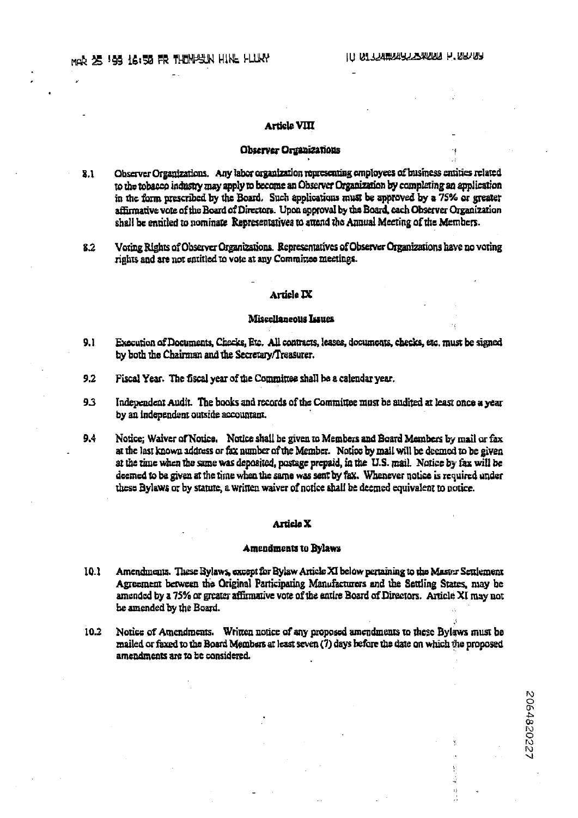2064820227

3)

# **Article VIII**

#### Observer Organizations

- Observer Organizations. Any labor organization representing employees of business emities related 8.1 to the tobacco industry may apply to become an Observer Organization by completing an application in the form prescribed by the Board. Such applications must be approved by a 75% or greater affirmative vote of the Board of Directors. Upon approval by the Board, each Observer Organization shall be entitled to nominate Representatives to attend the Annual Meeting of the Members.
- Voring Rights of Observer Organizations. Representatives of Observer Organizations have no voting  $8.2$ rights and are not sutitled to vote at any Committee meetings.

#### Article **IX**

#### Miscellaneous Issues

- Execution of Documents, Checks, Etc. All contracts, leases, documents, checks, etc. must be signed  $9.1$ by both the Chairman and the Secretary/Treasurer.
- $9.2$ Fiscal Year. The fiscal year of the Committee shall be a calendar year.
- 93 Independent Audit. The books and records of the Committee must be audited at least once a year by an independent outside accountant.
- $9.4$ Notice; Waiver of Notice. Notice shall be given to Members and Board Members by mail or fax at the last known address or fax number of the Member. Notice by mail will be deemed to be given at the time when the same was deposited, postage prepaid, in the U.S. mail. Notice by fax will be deemed to be given at the time when the same was sent by fax. Whenever notice is required under these Bylaws or by statute, a written waiver of notice shall be deemed equivalent to notice.

#### Article X

#### **Amendments to Bylaws**

- 10.1 Amendments. These Bylaws, except for Bylaw Article XI below pertaining to the Master Settlement Agreement between the Original Participating Manufacturers and the Settling States, may be amended by a 75% or greater affirmative vote of the entire Board of Directors. Article XI may not be amended by the Board.
- Notice of Amendments. Written notice of any proposed amendments to these Bylaws must be  $10.2<sub>1</sub>$ mailed or faxed to the Board Members at least seven (7) days before the date on which the proposed amendments are to be considered.